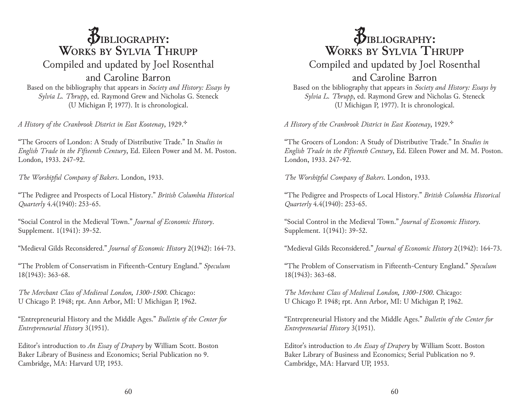## $\beta$ **IBLIOGRAPHY: Works by Sylvia Thrupp** Compiled and updated by Joel Rosenthal and Caroline Barron

Based on the bibliography that appears in *Society and History: Essays by Sylvia L. Thrupp*, ed. Raymond Grew and Nicholas G. Steneck (U Michigan P, 1977). It is chronological.

*A History of the Cranbrook District in East Kootenay*, 1929.<sup>\*</sup>

"The Grocers of London: A Study of Distributive Trade." In *Studies in English Trade in the Fifteenth Century*, Ed. Eileen Power and M. M. Poston. London, 1933. 247-92.

*The Worshipful Company of Bakers*. London, 1933.

"The Pedigree and Prospects of Local History." *British Columbia Historical Quarterly* 4.4(1940): 253-65.

"Social Control in the Medieval Town." *Journal of Economic History*. Supplement. 1(1941): 39-52.

"Medieval Gilds Reconsidered." *Journal of Economic History* 2(1942): 164-73.

"The Problem of Conservatism in Fifteenth-Century England." *Speculum*  18(1943): 363-68.

*The Merchant Class of Medieval London, 1300-1500*. Chicago: U Chicago P. 1948; rpt. Ann Arbor, MI: U Michigan P, 1962.

"Entrepreneurial History and the Middle Ages." *Bulletin of the Center for Entrepreneurial History* 3(1951).

Editor's introduction to *An Essay of Drapery* by William Scott. Boston Baker Library of Business and Economics; Serial Publication no 9. Cambridge, MA: Harvard UP, 1953.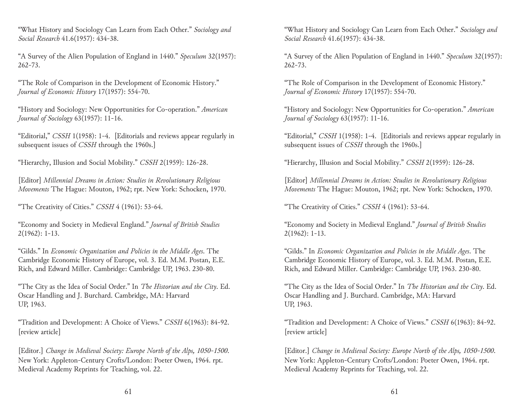"What History and Sociology Can Learn from Each Other." *Sociology and Social Research* 41.6(1957): 434-38.

"A Survey of the Alien Population of England in 1440." *Speculum* 32(1957): 262-73.

"The Role of Comparison in the Development of Economic History." *Journal of Economic History* 17(1957): 554-70.

"History and Sociology: New Opportunities for Co-operation." *American Journal of Sociology* 63(1957): 11-16.

"Editorial," *CSSH* 1(1958): 1-4. [Editorials and reviews appear regularly in subsequent issues of *CSSH* through the 1960s.]

"Hierarchy, Illusion and Social Mobility." *CSSH* 2(1959): 126-28.

[Editor] *Millennial Dreams in Action: Studies in Revolutionary Religious Movements* The Hague: Mouton, 1962; rpt. New York: Schocken, 1970.

"The Creativity of Cities." *CSSH* 4 (1961): 53-64.

"Economy and Society in Medieval England." *Journal of British Studies*  2(1962): 1-13.

"Gilds." In *Economic Organization and Policies in the Middle Ages*. The Cambridge Economic History of Europe, vol. 3. Ed. M.M. Postan, E.E. Rich, and Edward Miller. Cambridge: Cambridge UP, 1963. 230-80.

"The City as the Idea of Social Order." In *The Historian and the City*. Ed. Oscar Handling and J. Burchard. Cambridge, MA: Harvard UP, 1963.

"Tradition and Development: A Choice of Views." *CSSH* 6(1963): 84-92. [review article]

[Editor.] *Change in Medieval Society: Europe North of the Alps, 1050-1500*. New York: Appleton-Century Crofts/London: Poeter Owen, 1964. rpt. Medieval Academy Reprints for Teaching, vol. 22.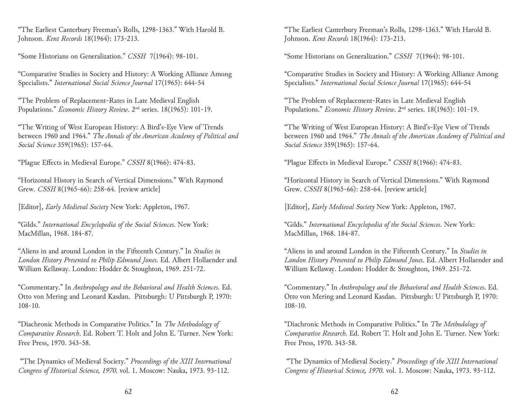"The Earliest Canterbury Freeman's Rolls, 1298-1363." With Harold B. Johnson. *Kent Records* 18(1964): 173-213.

"Some Historians on Generalization." *CSSH* 7(1964): 98-101.

"Comparative Studies in Society and History: A Working Alliance Among Specialists." *International Social Science Journal* 17(1965): 644-54

"The Problem of Replacement-Rates in Late Medieval English Populations." *Economic History Review*. 2nd series. 18(1965): 101-19.

"The Writing of West European History: A Bird's-Eye View of Trends between 1960 and 1964." *The Annals of the American Academy of Political and Social Science* 359(1965): 157-64.

"Plague Effects in Medieval Europe." *CSSH* 8(1966): 474-83.

"Horizontal History in Search of Vertical Dimensions." With Raymond Grew. *CSSH* 8(1965-66): 258-64. [review article]

[Editor], *Early Medieval Society* New York: Appleton, 1967.

"Gilds." *International Encyclopedia of the Social Sciences*. New York: MacMillan, 1968. 184-87.

"Aliens in and around London in the Fifteenth Century." In *Studies in London History Presented to Philip Edmund Jones*. Ed. Albert Hollaender and William Kellaway. London: Hodder & Stoughton, 1969. 251-72.

"Commentary." In *Anthropology and the Behavioral and Health Sciences*. Ed. Otto von Mering and Leonard Kasdan. Pittsburgh: U Pittsburgh P, 1970: 108-10.

"Diachronic Methods in Comparative Politics." In *The Methodology of Comparative Research*. Ed. Robert T. Holt and John E. Turner. New York: Free Press, 1970. 343-58.

 "The Dynamics of Medieval Society." *Proceedings of the XIII International Congress of Historical Science, 1970*. vol. 1. Moscow: Nauka, 1973. 93-112.